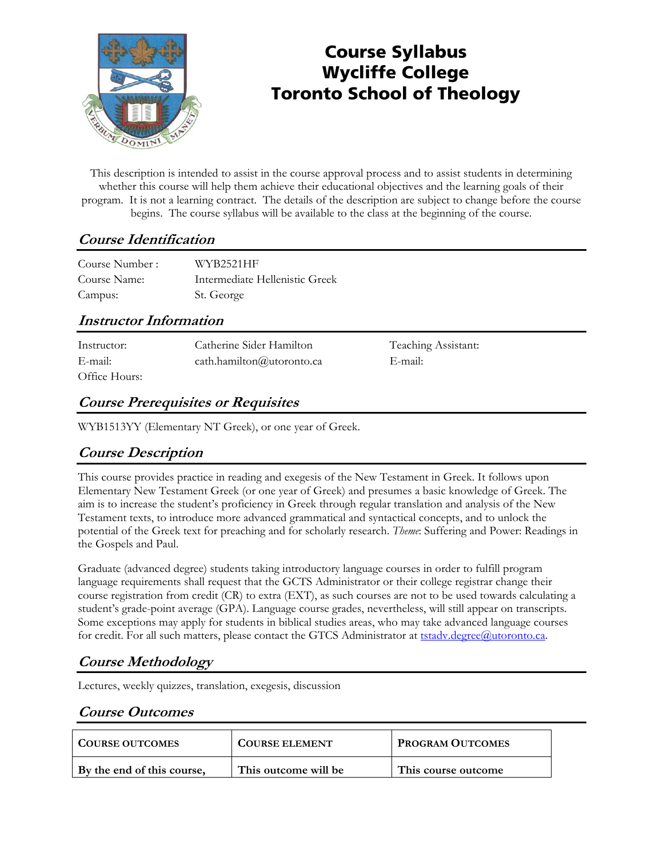

# Course Syllabus Wycliffe College Toronto School of Theology

This description is intended to assist in the course approval process and to assist students in determining whether this course will help them achieve their educational objectives and the learning goals of their program. It is not a learning contract. The details of the description are subject to change before the course begins. The course syllabus will be available to the class at the beginning of the course.

## **Course Identification**

| Course Number: | WYB2521HF                      |
|----------------|--------------------------------|
| Course Name:   | Intermediate Hellenistic Greek |
| Campus:        | St. George                     |

### **Instructor Information**

| Instructor:   | Catherine Sider Hamilton        | Teaching Assistant: |
|---------------|---------------------------------|---------------------|
| E-mail:       | cath.hamilton $(a)$ utoronto.ca | E-mail:             |
| Office Hours: |                                 |                     |

## **Course Prerequisites or Requisites**

WYB1513YY (Elementary NT Greek), or one year of Greek.

### **Course Description**

This course provides practice in reading and exegesis of the New Testament in Greek. It follows upon Elementary New Testament Greek (or one year of Greek) and presumes a basic knowledge of Greek. The aim is to increase the student's proficiency in Greek through regular translation and analysis of the New Testament texts, to introduce more advanced grammatical and syntactical concepts, and to unlock the potential of the Greek text for preaching and for scholarly research. *Theme*: Suffering and Power: Readings in the Gospels and Paul.

Graduate (advanced degree) students taking introductory language courses in order to fulfill program language requirements shall request that the GCTS Administrator or their college registrar change their course registration from credit (CR) to extra (EXT), as such courses are not to be used towards calculating a student's grade-point average (GPA). Language course grades, nevertheless, will still appear on transcripts. Some exceptions may apply for students in biblical studies areas, who may take advanced language courses for credit. For all such matters, please contact the GTCS Administrator at tstady.degree@utoronto.ca.

## **Course Methodology**

Lectures, weekly quizzes, translation, exegesis, discussion

### **Course Outcomes**

| <b>COURSE OUTCOMES</b>     | <b>COURSE ELEMENT</b> | <b>PROGRAM OUTCOMES</b> |
|----------------------------|-----------------------|-------------------------|
| By the end of this course, | This outcome will be  | This course outcome     |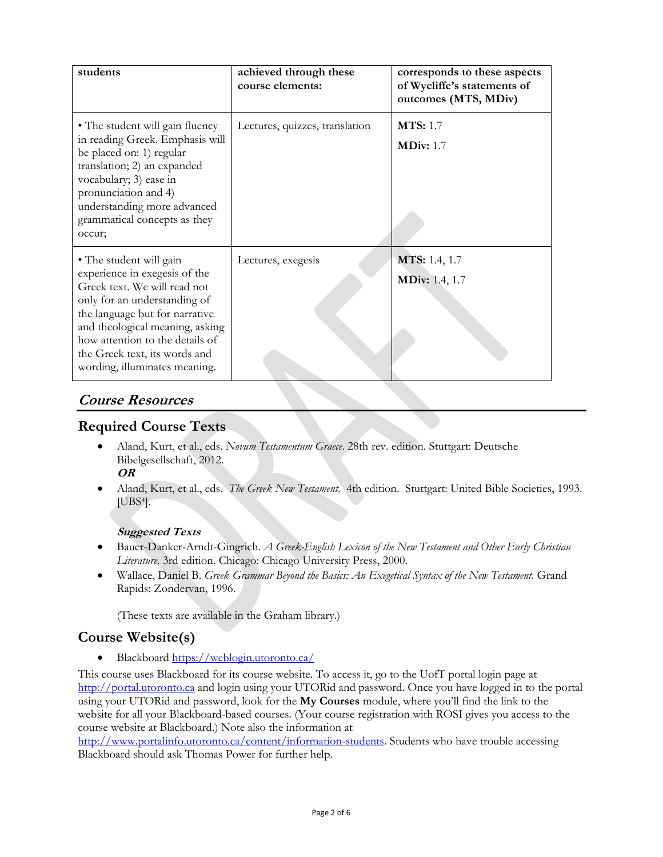| students                                                                                                                                                                                                                                                                                           | achieved through these<br>course elements: | corresponds to these aspects<br>of Wycliffe's statements of<br>outcomes (MTS, MDiv) |
|----------------------------------------------------------------------------------------------------------------------------------------------------------------------------------------------------------------------------------------------------------------------------------------------------|--------------------------------------------|-------------------------------------------------------------------------------------|
| • The student will gain fluency<br>in reading Greek. Emphasis will<br>be placed on: 1) regular<br>translation; 2) an expanded<br>vocabulary; 3) ease in<br>pronunciation and 4)<br>understanding more advanced<br>grammatical concepts as they<br>occur;                                           | Lectures, quizzes, translation             | <b>MTS:</b> 1.7<br><b>MDiv:</b> 1.7                                                 |
| • The student will gain<br>experience in exegesis of the<br>Greek text. We will read not<br>only for an understanding of<br>the language but for narrative<br>and theological meaning, asking<br>how attention to the details of<br>the Greek text, its words and<br>wording, illuminates meaning. | Lectures, exegesis                         | <b>MTS:</b> 1.4, 1.7<br><b>MDiv:</b> 1.4, 1.7                                       |

### **Course Resources**

#### **Required Course Texts**

- Aland, Kurt, et al., eds. *Novum Testamentum Graece*. 28th rev. edition. Stuttgart: Deutsche Bibelgesellschaft, 2012.
	- **OR**
- Aland, Kurt, et al., eds. *The Greek New Testament*. 4th edition. Stuttgart: United Bible Societies, 1993. [UBS4].

#### **Suggested Texts**

- Bauer-Danker-Arndt-Gingrich. *A Greek-English Lexicon of the New Testament and Other Early Christian Literature*. 3rd edition. Chicago: Chicago University Press, 2000.
- Wallace, Daniel B. *Greek Grammar Beyond the Basics: An Exegetical Syntax of the New Testament*. Grand Rapids: Zondervan, 1996.

(These texts are available in the Graham library.)

### **Course Website(s)**

Blackboard https://weblogin.utoronto.ca/

This course uses Blackboard for its course website. To access it, go to the UofT portal login page at http://portal.utoronto.ca and login using your UTORid and password. Once you have logged in to the portal using your UTORid and password, look for the **My Courses** module, where you'll find the link to the website for all your Blackboard-based courses. (Your course registration with ROSI gives you access to the course website at Blackboard.) Note also the information at

http://www.portalinfo.utoronto.ca/content/information-students. Students who have trouble accessing Blackboard should ask Thomas Power for further help.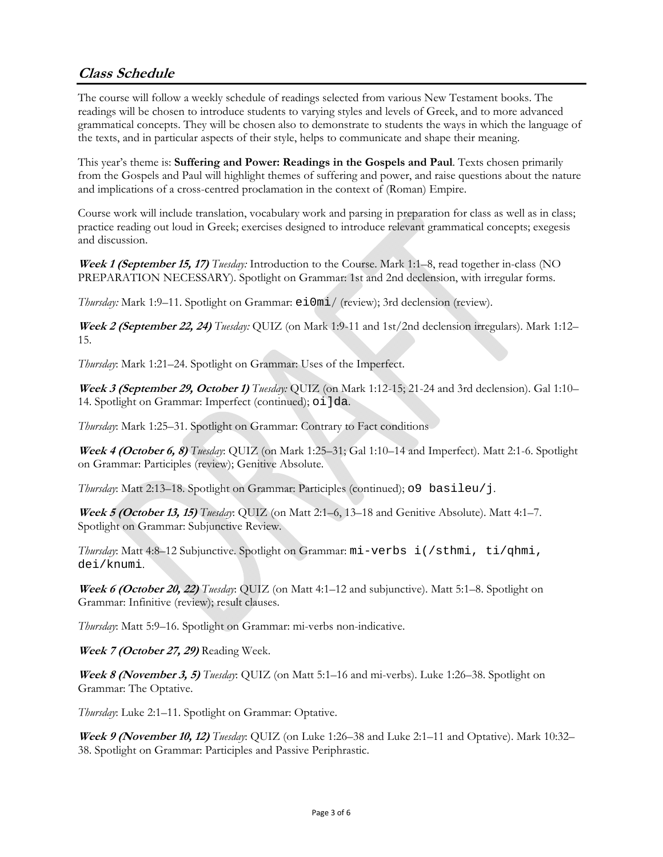## **Class Schedule**

The course will follow a weekly schedule of readings selected from various New Testament books. The readings will be chosen to introduce students to varying styles and levels of Greek, and to more advanced grammatical concepts. They will be chosen also to demonstrate to students the ways in which the language of the texts, and in particular aspects of their style, helps to communicate and shape their meaning.

This year's theme is: **Suffering and Power: Readings in the Gospels and Paul**. Texts chosen primarily from the Gospels and Paul will highlight themes of suffering and power, and raise questions about the nature and implications of a cross-centred proclamation in the context of (Roman) Empire.

Course work will include translation, vocabulary work and parsing in preparation for class as well as in class; practice reading out loud in Greek; exercises designed to introduce relevant grammatical concepts; exegesis and discussion.

**Week 1 (September 15, 17)** *Tuesday:* Introduction to the Course. Mark 1:1–8, read together in-class (NO PREPARATION NECESSARY). Spotlight on Grammar: 1st and 2nd declension, with irregular forms.

*Thursday:* Mark 1:9–11. Spotlight on Grammar: ei0mi/ (review); 3rd declension (review).

**Week 2 (September 22, 24)** *Tuesday:* QUIZ (on Mark 1:9-11 and 1st/2nd declension irregulars). Mark 1:12– 15.

*Thursday*: Mark 1:21–24. Spotlight on Grammar: Uses of the Imperfect.

**Week 3 (September 29, October 1)** *Tuesday:* QUIZ (on Mark 1:12-15; 21-24 and 3rd declension). Gal 1:10– 14. Spotlight on Grammar: Imperfect (continued); oi ]da.

*Thursday*: Mark 1:25–31. Spotlight on Grammar: Contrary to Fact conditions

**Week 4 (October 6, 8)** *Tuesday*: QUIZ (on Mark 1:25–31; Gal 1:10–14 and Imperfect). Matt 2:1-6. Spotlight on Grammar: Participles (review); Genitive Absolute.

*Thursday*: Matt 2:13–18. Spotlight on Grammar: Participles (continued); o9 basileu/j.

**Week 5 (October 13, 15)** *Tuesday*: QUIZ (on Matt 2:1–6, 13–18 and Genitive Absolute). Matt 4:1–7. Spotlight on Grammar: Subjunctive Review.

*Thursday*: Matt 4:8–12 Subjunctive. Spotlight on Grammar: mi-verbs i(/sthmi, ti/qhmi, dei/knumi.

**Week 6 (October 20, 22)** *Tuesday*: QUIZ (on Matt 4:1–12 and subjunctive). Matt 5:1–8. Spotlight on Grammar: Infinitive (review); result clauses.

*Thursday*: Matt 5:9–16. Spotlight on Grammar: mi-verbs non-indicative.

**Week 7 (October 27, 29)** Reading Week.

**Week 8 (November 3, 5)** *Tuesday*: QUIZ (on Matt 5:1–16 and mi-verbs). Luke 1:26–38. Spotlight on Grammar: The Optative.

*Thursday*: Luke 2:1–11. Spotlight on Grammar: Optative.

**Week 9 (November 10, 12)** *Tuesday*: QUIZ (on Luke 1:26–38 and Luke 2:1–11 and Optative). Mark 10:32– 38. Spotlight on Grammar: Participles and Passive Periphrastic.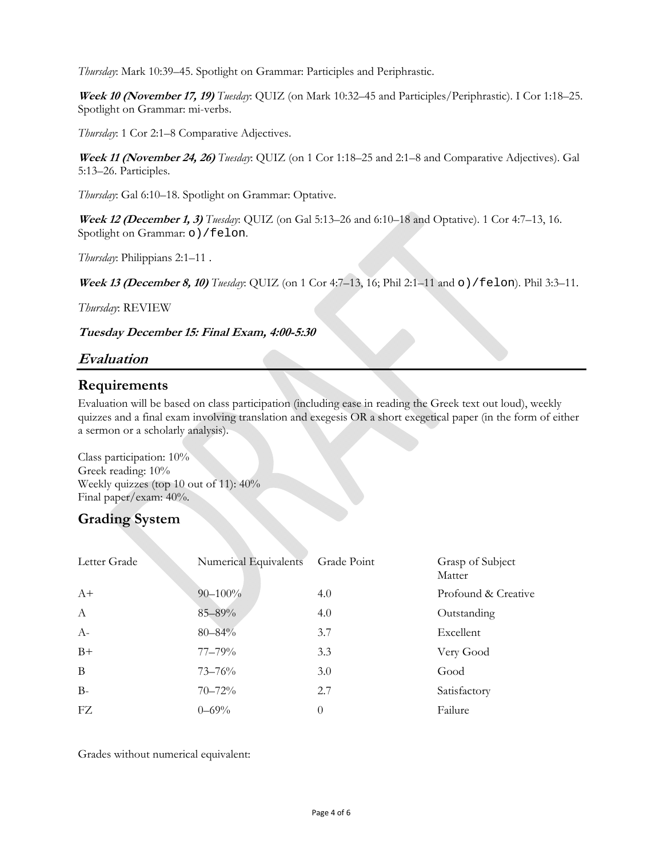*Thursday*: Mark 10:39–45. Spotlight on Grammar: Participles and Periphrastic.

**Week 10 (November 17, 19)** *Tuesday*: QUIZ (on Mark 10:32–45 and Participles/Periphrastic). I Cor 1:18–25. Spotlight on Grammar: mi-verbs.

*Thursday*: 1 Cor 2:1–8 Comparative Adjectives.

**Week 11 (November 24, 26)** *Tuesday*: QUIZ (on 1 Cor 1:18–25 and 2:1–8 and Comparative Adjectives). Gal 5:13–26. Participles.

*Thursday*: Gal 6:10–18. Spotlight on Grammar: Optative.

**Week 12 (December 1, 3)** *Tuesday*: QUIZ (on Gal 5:13–26 and 6:10–18 and Optative). 1 Cor 4:7–13, 16. Spotlight on Grammar: o) / felon.

*Thursday*: Philippians 2:1–11 .

**Week 13 (December 8, 10)** *Tuesday*: QUIZ (on 1 Cor 4:7–13, 16; Phil 2:1–11 and o)/felon). Phil 3:3–11.

*Thursday*: REVIEW

**Tuesday December 15: Final Exam, 4:00-5:30**

### **Evaluation**

### **Requirements**

Evaluation will be based on class participation (including ease in reading the Greek text out loud), weekly quizzes and a final exam involving translation and exegesis OR a short exegetical paper (in the form of either a sermon or a scholarly analysis).

Class participation: 10% Greek reading: 10% Weekly quizzes (top 10 out of 11): 40% Final paper/exam: 40%.

### **Grading System**

| Letter Grade | Numerical Equivalents | Grade Point | Grasp of Subject<br>Matter |
|--------------|-----------------------|-------------|----------------------------|
| $A+$         | $90 - 100\%$          | 4.0         | Profound & Creative        |
| $\mathbf{A}$ | 85-89%                | 4.0         | Outstanding                |
| $A-$         | $80 - 84\%$           | 3.7         | Excellent                  |
| $B+$         | $77 - 79\%$           | 3.3         | Very Good                  |
| B            | $73 - 76%$            | 3.0         | Good                       |
| $B -$        | $70 - 72%$            | 2.7         | Satisfactory               |
| FZ.          | $0 - 69\%$            | $\Omega$    | Failure                    |

Grades without numerical equivalent: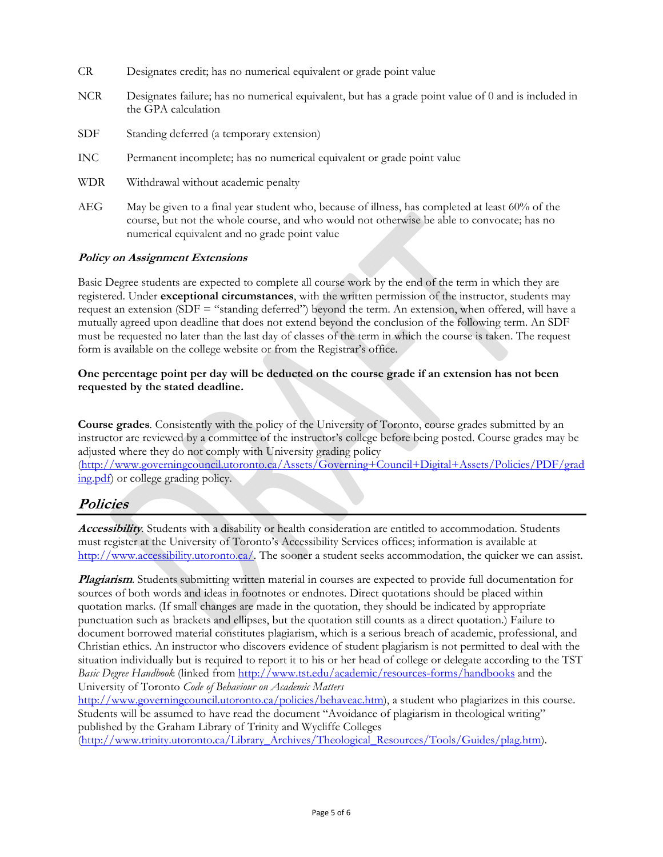- CR Designates credit; has no numerical equivalent or grade point value
- NCR Designates failure; has no numerical equivalent, but has a grade point value of 0 and is included in the GPA calculation
- SDF Standing deferred (a temporary extension)
- INC Permanent incomplete; has no numerical equivalent or grade point value
- WDR Withdrawal without academic penalty
- AEG May be given to a final year student who, because of illness, has completed at least 60% of the course, but not the whole course, and who would not otherwise be able to convocate; has no numerical equivalent and no grade point value

#### **Policy on Assignment Extensions**

Basic Degree students are expected to complete all course work by the end of the term in which they are registered. Under **exceptional circumstances**, with the written permission of the instructor, students may request an extension (SDF = "standing deferred") beyond the term. An extension, when offered, will have a mutually agreed upon deadline that does not extend beyond the conclusion of the following term. An SDF must be requested no later than the last day of classes of the term in which the course is taken. The request form is available on the college website or from the Registrar's office.

#### **One percentage point per day will be deducted on the course grade if an extension has not been requested by the stated deadline.**

**Course grades***.* Consistently with the policy of the University of Toronto, course grades submitted by an instructor are reviewed by a committee of the instructor's college before being posted. Course grades may be adjusted where they do not comply with University grading policy (http://www.governingcouncil.utoronto.ca/Assets/Governing+Council+Digital+Assets/Policies/PDF/grad ing.pdf) or college grading policy.

#### **Policies**

**Accessibility***.* Students with a disability or health consideration are entitled to accommodation. Students must register at the University of Toronto's Accessibility Services offices; information is available at http://www.accessibility.utoronto.ca/. The sooner a student seeks accommodation, the quicker we can assist.

**Plagiarism**. Students submitting written material in courses are expected to provide full documentation for sources of both words and ideas in footnotes or endnotes. Direct quotations should be placed within quotation marks. (If small changes are made in the quotation, they should be indicated by appropriate punctuation such as brackets and ellipses, but the quotation still counts as a direct quotation.) Failure to document borrowed material constitutes plagiarism, which is a serious breach of academic, professional, and Christian ethics. An instructor who discovers evidence of student plagiarism is not permitted to deal with the situation individually but is required to report it to his or her head of college or delegate according to the TST *Basic Degree Handbook* (linked from http://www.tst.edu/academic/resources-forms/handbooks and the University of Toronto *Code of Behaviour on Academic Matters*

http://www.governingcouncil.utoronto.ca/policies/behaveac.htm), a student who plagiarizes in this course. Students will be assumed to have read the document "Avoidance of plagiarism in theological writing" published by the Graham Library of Trinity and Wycliffe Colleges

(http://www.trinity.utoronto.ca/Library\_Archives/Theological\_Resources/Tools/Guides/plag.htm).